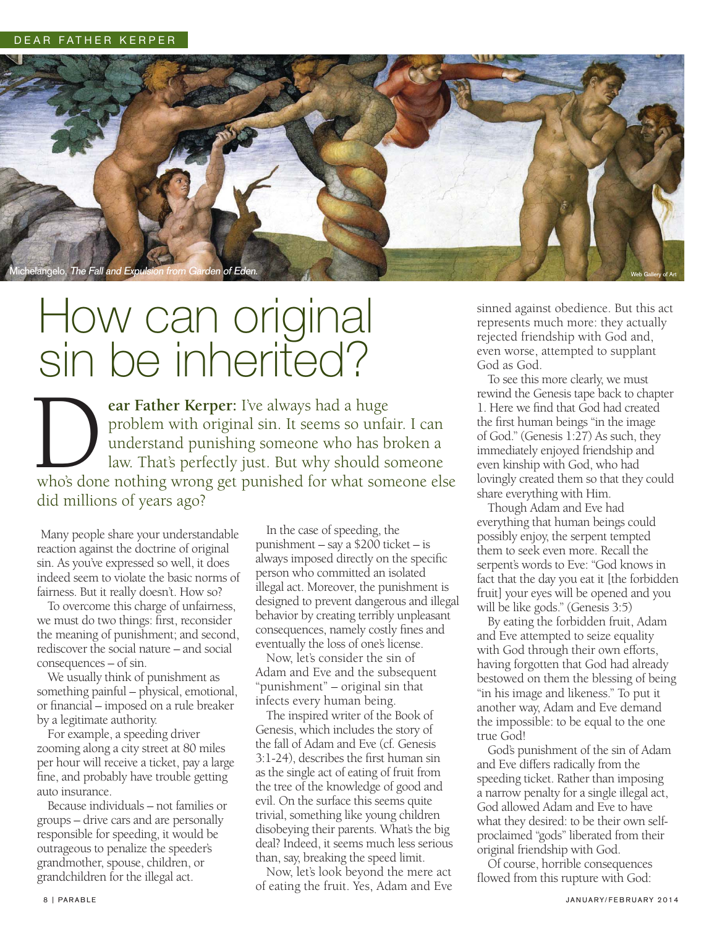

## How can original sin be inherited?

**ear Father Kerper:** I've always had a huge problem with original sin. It seems so unfair. I can understand punishing someone who has broken a law. That's perfectly just. But why should someone **Example 18 Conserved Strather Kerper:** I've always had a huge problem with original sin. It seems so unfair. I can understand punishing someone who has broken a law. That's perfectly just. But why should someone who's don did millions of years ago?

Many people share your understandable reaction against the doctrine of original sin. As you've expressed so well, it does indeed seem to violate the basic norms of fairness. But it really doesn't. How so?

 To overcome this charge of unfairness, we must do two things: first, reconsider the meaning of punishment; and second, rediscover the social nature – and social consequences – of sin.

 We usually think of punishment as something painful – physical, emotional, or financial – imposed on a rule breaker by a legitimate authority.

 For example, a speeding driver zooming along a city street at 80 miles per hour will receive a ticket, pay a large fine, and probably have trouble getting auto insurance.

 Because individuals – not families or groups – drive cars and are personally responsible for speeding, it would be outrageous to penalize the speeder's grandmother, spouse, children, or grandchildren for the illegal act.

 In the case of speeding, the punishment – say a \$200 ticket – is always imposed directly on the specific person who committed an isolated illegal act. Moreover, the punishment is designed to prevent dangerous and illegal behavior by creating terribly unpleasant consequences, namely costly fines and eventually the loss of one's license.

 Now, let's consider the sin of Adam and Eve and the subsequent "punishment" – original sin that infects every human being.

 The inspired writer of the Book of Genesis, which includes the story of the fall of Adam and Eve (cf. Genesis 3:1-24), describes the first human sin as the single act of eating of fruit from the tree of the knowledge of good and evil. On the surface this seems quite trivial, something like young children disobeying their parents. What's the big deal? Indeed, it seems much less serious than, say, breaking the speed limit.

 Now, let's look beyond the mere act of eating the fruit. Yes, Adam and Eve sinned against obedience. But this act represents much more: they actually rejected friendship with God and, even worse, attempted to supplant God as God.

 To see this more clearly, we must rewind the Genesis tape back to chapter 1. Here we find that God had created the first human beings "in the image of God." (Genesis 1:27) As such, they immediately enjoyed friendship and even kinship with God, who had lovingly created them so that they could share everything with Him.

 Though Adam and Eve had everything that human beings could possibly enjoy, the serpent tempted them to seek even more. Recall the serpent's words to Eve: "God knows in fact that the day you eat it [the forbidden fruit] your eyes will be opened and you will be like gods." (Genesis 3:5)

 By eating the forbidden fruit, Adam and Eve attempted to seize equality with God through their own efforts, having forgotten that God had already bestowed on them the blessing of being "in his image and likeness." To put it another way, Adam and Eve demand the impossible: to be equal to the one true God!

 God's punishment of the sin of Adam and Eve differs radically from the speeding ticket. Rather than imposing a narrow penalty for a single illegal act, God allowed Adam and Eve to have what they desired: to be their own selfproclaimed "gods" liberated from their original friendship with God.

 Of course, horrible consequences flowed from this rupture with God: